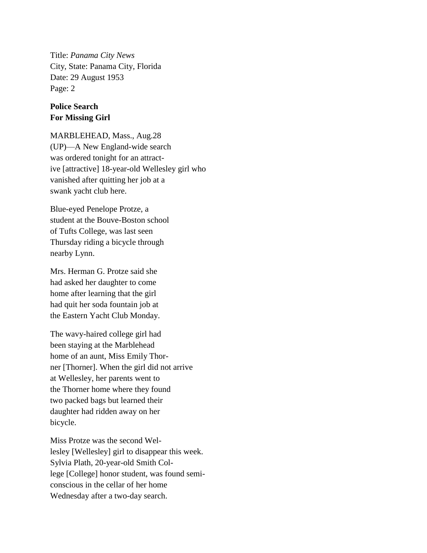Title: *Panama City News* City, State: Panama City, Florida Date: 29 August 1953 Page: 2

## **Police Search For Missing Girl**

MARBLEHEAD, Mass., Aug.28 (UP)—A New England-wide search was ordered tonight for an attractive [attractive] 18-year-old Wellesley girl who vanished after quitting her job at a swank yacht club here.

Blue-eyed Penelope Protze, a student at the Bouve-Boston school of Tufts College, was last seen Thursday riding a bicycle through nearby Lynn.

Mrs. Herman G. Protze said she had asked her daughter to come home after learning that the girl had quit her soda fountain job at the Eastern Yacht Club Monday.

The wavy-haired college girl had been staying at the Marblehead home of an aunt, Miss Emily Thorner [Thorner]. When the girl did not arrive at Wellesley, her parents went to the Thorner home where they found two packed bags but learned their daughter had ridden away on her bicycle.

Miss Protze was the second Wellesley [Wellesley] girl to disappear this week. Sylvia Plath, 20-year-old Smith College [College] honor student, was found semiconscious in the cellar of her home Wednesday after a two-day search.